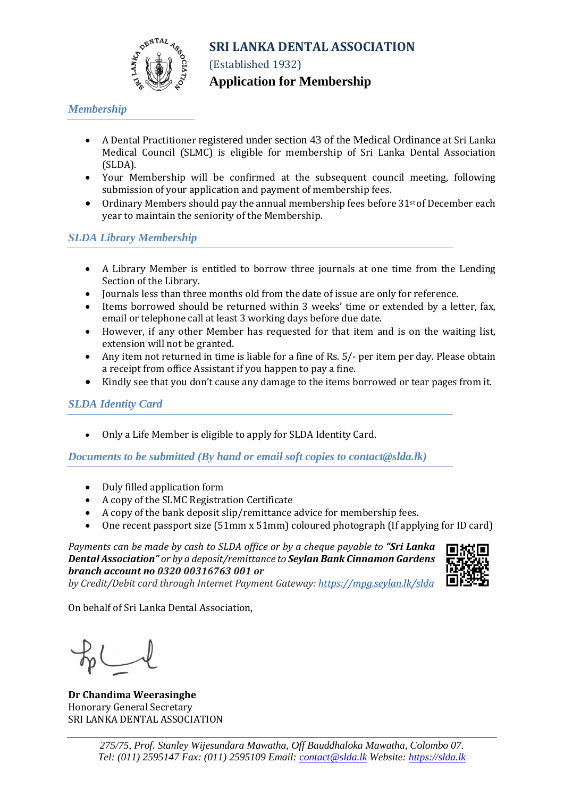

(Established 1932)

# **Application for Membership**

## *Membership*

- A Dental Practitioner registered under section 43 of the Medical Ordinance at Sri Lanka Medical Council (SLMC) is eligible for membership of Sri Lanka Dental Association (SLDA).
- Your Membership will be confirmed at the subsequent council meeting, following submission of your application and payment of membership fees.
- Ordinary Members should pay the annual membership fees before  $31<sup>st</sup>$  of December each year to maintain the seniority of the Membership.

## *SLDA Library Membership*

- A Library Member is entitled to borrow three journals at one time from the Lending Section of the Library.
- Journals less than three months old from the date of issue are only for reference.
- Items borrowed should be returned within 3 weeks' time or extended by a letter, fax, email or telephone call at least 3 working days before due date.
- However, if any other Member has requested for that item and is on the waiting list, extension will not be granted.
- Any item not returned in time is liable for a fine of Rs. 5/- per item per day. Please obtain a receipt from office Assistant if you happen to pay a fine.
- Kindly see that you don't cause any damage to the items borrowed or tear pages from it.

### *SLDA Identity Card*

• Only a Life Member is eligible to apply for SLDA Identity Card.

### *Documents to be submitted (By hand or email soft copies to contact@slda.lk)*

- Duly filled application form
- A copy of the SLMC Registration Certificate
- A copy of the bank deposit slip/remittance advice for membership fees.
- One recent passport size (51mm x 51mm) coloured photograph (If applying for ID card)

*Payments can be made by cash to SLDA office or by a cheque payable to "Sri Lanka Dental Association" or by a deposit/remittance to Seylan Bank Cinnamon Gardens branch account no 0320 00316763 001 or by Credit/Debit card through Internet Payment Gateway: <https://mpg.seylan.lk/slda>*



On behalf of Sri Lanka Dental Association,

**Dr Chandima Weerasinghe** Honorary General Secretary SRI LANKA DENTAL ASSOCIATION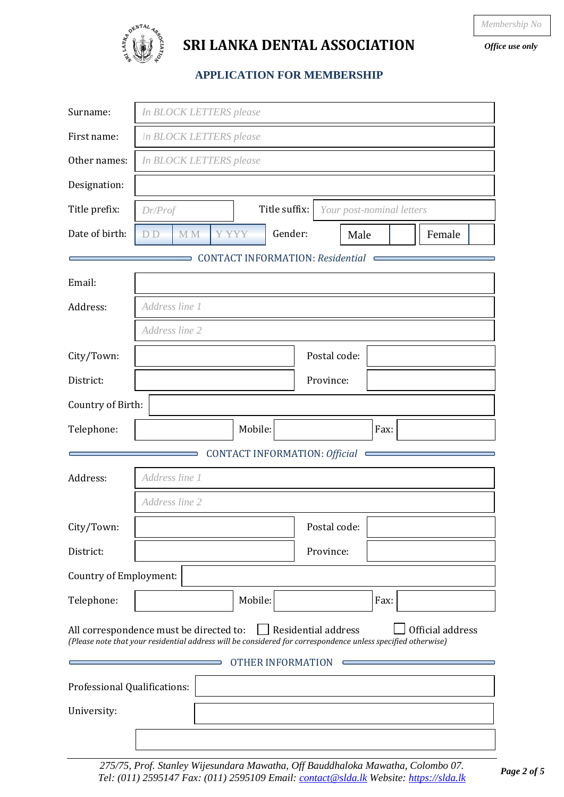

*Office use only*

*Membership No*

## **APPLICATION FOR MEMBERSHIP**

| Surname:                      | In BLOCK LETTERS please                                                                                                                                                                                   |  |  |  |  |
|-------------------------------|-----------------------------------------------------------------------------------------------------------------------------------------------------------------------------------------------------------|--|--|--|--|
| First name:                   | In BLOCK LETTERS please                                                                                                                                                                                   |  |  |  |  |
| Other names:                  | In BLOCK LETTERS please                                                                                                                                                                                   |  |  |  |  |
| Designation:                  |                                                                                                                                                                                                           |  |  |  |  |
| Title prefix:                 | Title suffix:<br>Your post-nominal letters<br>Dr/Prof                                                                                                                                                     |  |  |  |  |
| Date of birth:                | <b>Y YYY</b><br>Gender:<br><b>MM</b><br>D <sub>D</sub><br>Male<br>Female                                                                                                                                  |  |  |  |  |
|                               | <b>CONTACT INFORMATION: Residential</b>                                                                                                                                                                   |  |  |  |  |
| Email:                        |                                                                                                                                                                                                           |  |  |  |  |
| Address:                      | Address line 1                                                                                                                                                                                            |  |  |  |  |
|                               | Address line 2                                                                                                                                                                                            |  |  |  |  |
| City/Town:                    | Postal code:                                                                                                                                                                                              |  |  |  |  |
| District:                     | Province:                                                                                                                                                                                                 |  |  |  |  |
| Country of Birth:             |                                                                                                                                                                                                           |  |  |  |  |
| Telephone:                    | Mobile:<br>Fax:                                                                                                                                                                                           |  |  |  |  |
|                               | <b>CONTACT INFORMATION: Official</b>                                                                                                                                                                      |  |  |  |  |
| Address:                      | Address line 1                                                                                                                                                                                            |  |  |  |  |
|                               | Address line 2                                                                                                                                                                                            |  |  |  |  |
| City/Town:                    | Postal code:                                                                                                                                                                                              |  |  |  |  |
| District:                     | Province:                                                                                                                                                                                                 |  |  |  |  |
| <b>Country of Employment:</b> |                                                                                                                                                                                                           |  |  |  |  |
| Telephone:                    | Mobile:<br>Fax:                                                                                                                                                                                           |  |  |  |  |
|                               | $\Box$ Residential address<br>Official address<br>All correspondence must be directed to:<br>(Please note that your residential address will be considered for correspondence unless specified otherwise) |  |  |  |  |
|                               | <b>OTHER INFORMATION</b>                                                                                                                                                                                  |  |  |  |  |
| Professional Qualifications:  |                                                                                                                                                                                                           |  |  |  |  |
| University:                   |                                                                                                                                                                                                           |  |  |  |  |
|                               |                                                                                                                                                                                                           |  |  |  |  |

*275/75, Prof. Stanley Wijesundara Mawatha, Off Bauddhaloka Mawatha, Colombo 07. Tel: (011) 2595147 Fax: (011) 2595109 Email: [contact@slda.lk](mailto:contact@slda.lk) Website: [https://slda.lk](https://slda.lk/)*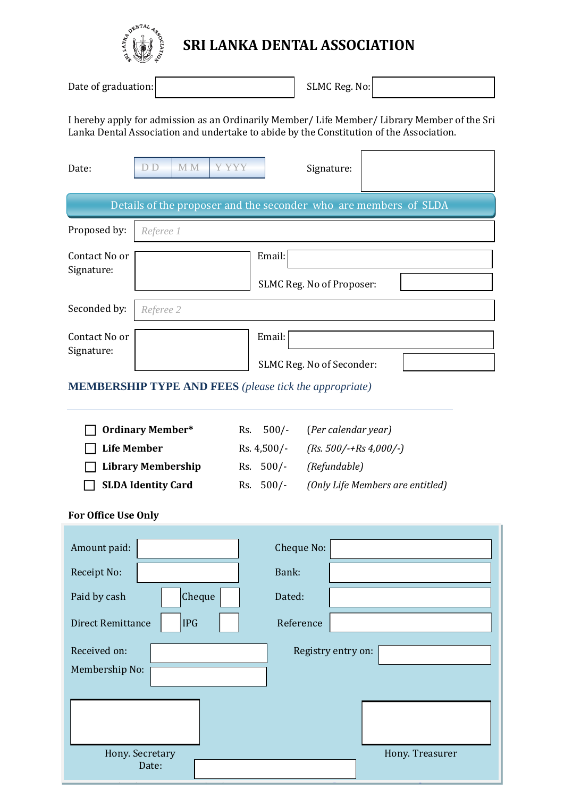

Date of graduation: SLMC Reg. No:

I hereby apply for admission as an Ordinarily Member/ Life Member/ Library Member of the Sri Lanka Dental Association and undertake to abide by the Constitution of the Association.

| Date:                                                            | Y YYY<br>M <sub>M</sub><br>D <sub>D</sub><br>Signature: |  |  |  |  |  |
|------------------------------------------------------------------|---------------------------------------------------------|--|--|--|--|--|
| Details of the proposer and the seconder who are members of SLDA |                                                         |  |  |  |  |  |
| Proposed by:                                                     | Referee 1                                               |  |  |  |  |  |
| Contact No or<br>Signature:                                      | Email:                                                  |  |  |  |  |  |
|                                                                  | SLMC Reg. No of Proposer:                               |  |  |  |  |  |
| Seconded by:                                                     | Referee 2                                               |  |  |  |  |  |
| Contact No or<br>Signature:                                      | Email:                                                  |  |  |  |  |  |
|                                                                  | SLMC Reg. No of Seconder:                               |  |  |  |  |  |
| <b>MEMBERSHIP TYPE AND FEES</b> (please tick the appropriate)    |                                                         |  |  |  |  |  |
|                                                                  | $\sim$ $\sim$ $\sim$ $\sim$                             |  |  |  |  |  |

| $\Box$ Ordinary Member*   |             | Rs. 500/- (Per calendar year)               |
|---------------------------|-------------|---------------------------------------------|
| $\Box$ Life Member        |             | Rs. $4,500/$ - (Rs. $500/$ -+Rs $4,000/$ -) |
| $\Box$ Library Membership |             | Rs. 500/- (Refundable)                      |
| $\Box$ SLDA Identity Card | $Rs. 500/-$ | (Only Life Members are entitled)            |
|                           |             |                                             |

### **For Office Use Only**

| Amount paid:                           | Cheque No:       |                    |
|----------------------------------------|------------------|--------------------|
| Receipt No:                            | Bank:            |                    |
| Paid by cash                           | Cheque<br>Dated: |                    |
| <b>IPG</b><br><b>Direct Remittance</b> | Reference        |                    |
| Received on:                           |                  | Registry entry on: |
| Membership No:                         |                  |                    |
|                                        |                  |                    |
|                                        |                  |                    |
| Hony. Secretary<br>Date:               |                  | Hony. Treasurer    |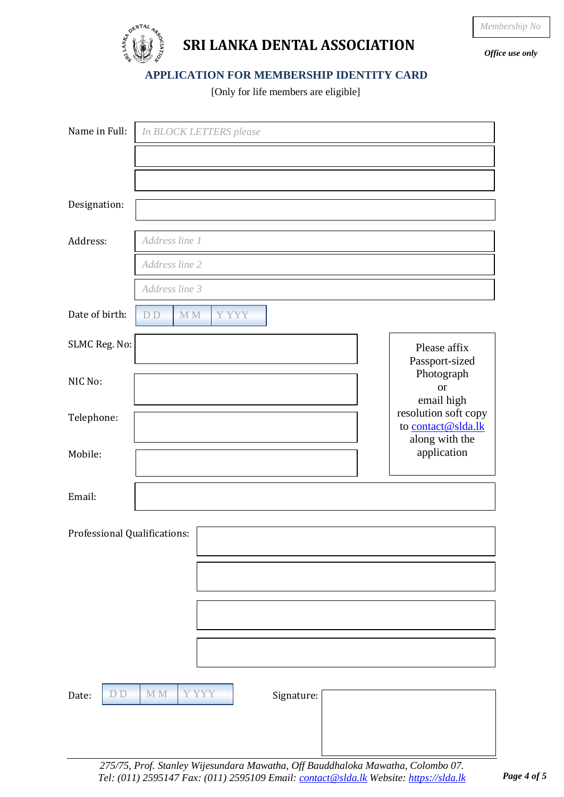



*Office use only*

## **APPLICATION FOR MEMBERSHIP IDENTITY CARD**

[Only for life members are eligible]

| Name in Full:                | In BLOCK LETTERS please          |                                            |
|------------------------------|----------------------------------|--------------------------------------------|
|                              |                                  |                                            |
| Designation:                 |                                  |                                            |
| Address:                     | Address line 1                   |                                            |
|                              | Address line 2                   |                                            |
|                              | Address line 3                   |                                            |
| Date of birth:               | Y YYY<br>M <sub>M</sub><br>D D   |                                            |
| SLMC Reg. No:                |                                  | Please affix<br>Passport-sized             |
| NIC No:                      |                                  | Photograph<br><b>or</b><br>email high      |
| Telephone:                   |                                  | resolution soft copy<br>to contact@slda.lk |
| Mobile:                      |                                  | along with the<br>application              |
| Email:                       |                                  |                                            |
| Professional Qualifications: |                                  |                                            |
|                              |                                  |                                            |
|                              |                                  |                                            |
|                              |                                  |                                            |
|                              |                                  |                                            |
| D D<br>Date:                 | Y YYY<br><b>MM</b><br>Signature: |                                            |
|                              |                                  |                                            |
|                              |                                  |                                            |

*275/75, Prof. Stanley Wijesundara Mawatha, Off Bauddhaloka Mawatha, Colombo 07. Tel: (011) 2595147 Fax: (011) 2595109 Email: [contact@slda.lk](mailto:contact@slda.lk) Website: [https://slda.lk](https://slda.lk/)*